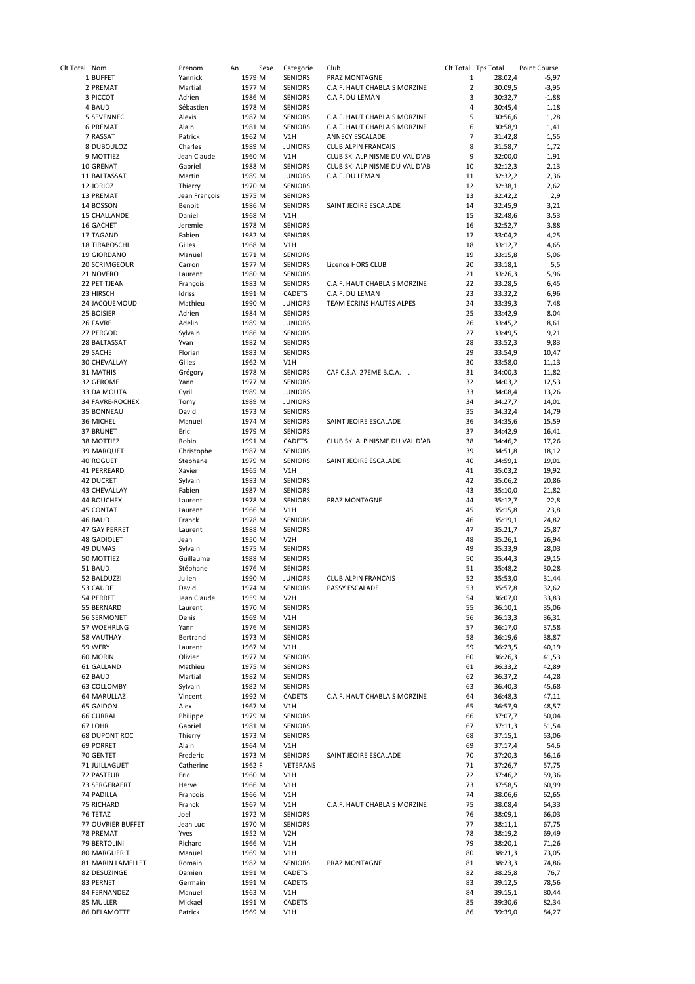| Clt Total Nom |                      | Prenom<br>An  | Sexe   | Categorie        | Club                           | Clt Total Tps Total |         | Point Course |
|---------------|----------------------|---------------|--------|------------------|--------------------------------|---------------------|---------|--------------|
|               | 1 BUFFET             | Yannick       | 1979 M | <b>SENIORS</b>   | PRAZ MONTAGNE                  | $\mathbf{1}$        | 28:02,4 | $-5,97$      |
|               | 2 PREMAT             | Martial       | 1977 M | <b>SENIORS</b>   | C.A.F. HAUT CHABLAIS MORZINE   | $\overline{2}$      | 30:09,5 | $-3,95$      |
|               | 3 PICCOT             | Adrien        | 1986 M | <b>SENIORS</b>   | C.A.F. DU LEMAN                | 3                   | 30:32,7 | $-1,88$      |
|               | 4 BAUD               | Sébastien     | 1978 M | <b>SENIORS</b>   |                                | $\overline{4}$      | 30:45,4 | 1,18         |
|               | 5 SEVENNEC           | Alexis        | 1987 M | <b>SENIORS</b>   | C.A.F. HAUT CHABLAIS MORZINE   | 5                   | 30:56,6 | 1,28         |
|               | <b>6 PREMAT</b>      | Alain         | 1981 M | <b>SENIORS</b>   | C.A.F. HAUT CHABLAIS MORZINE   | 6                   | 30:58,9 | 1,41         |
|               | 7 RASSAT             | Patrick       | 1962 M | V1H              | <b>ANNECY ESCALADE</b>         | 7                   | 31:42,8 | 1,55         |
|               |                      | Charles       |        |                  |                                |                     |         |              |
|               | 8 DUBOULOZ           |               | 1989 M | <b>JUNIORS</b>   | <b>CLUB ALPIN FRANCAIS</b>     | 8                   | 31:58,7 | 1,72         |
|               | 9 MOTTIEZ            | Jean Claude   | 1960 M | V1H              | CLUB SKI ALPINISME DU VAL D'AB | 9                   | 32:00,0 | 1,91         |
|               | 10 GRENAT            | Gabriel       | 1988 M | <b>SENIORS</b>   | CLUB SKI ALPINISME DU VAL D'AB | 10                  | 32:12,3 | 2,13         |
|               | 11 BALTASSAT         | Martin        | 1989 M | <b>JUNIORS</b>   | C.A.F. DU LEMAN                | 11                  | 32:32,2 | 2,36         |
|               | 12 JORIOZ            | Thierry       | 1970 M | <b>SENIORS</b>   |                                | 12                  | 32:38,1 | 2,62         |
|               | 13 PREMAT            | Jean François | 1975 M | <b>SENIORS</b>   |                                | 13                  | 32:42,2 | 2,9          |
|               | 14 BOSSON            | Benoit        | 1986 M | <b>SENIORS</b>   | SAINT JEOIRE ESCALADE          | 14                  | 32:45,9 | 3,21         |
|               | 15 CHALLANDE         | Daniel        | 1968 M | V1H              |                                | 15                  | 32:48,6 | 3,53         |
|               |                      |               |        |                  |                                |                     |         |              |
|               | 16 GACHET            | Jeremie       | 1978 M | <b>SENIORS</b>   |                                | 16                  | 32:52,7 | 3,88         |
|               | 17 TAGAND            | Fabien        | 1982 M | <b>SENIORS</b>   |                                | 17                  | 33:04,2 | 4,25         |
|               | <b>18 TIRABOSCHI</b> | Gilles        | 1968 M | V1H              |                                | 18                  | 33:12,7 | 4,65         |
|               | 19 GIORDANO          | Manuel        | 1971 M | <b>SENIORS</b>   |                                | 19                  | 33:15,8 | 5,06         |
|               | 20 SCRIMGEOUR        | Carron        | 1977 M | <b>SENIORS</b>   | Licence HORS CLUB              | 20                  | 33:18,1 | 5,5          |
|               | 21 NOVERO            | Laurent       | 1980 M | <b>SENIORS</b>   |                                | 21                  | 33:26,3 | 5,96         |
|               | 22 PETITJEAN         | François      | 1983 M | <b>SENIORS</b>   | C.A.F. HAUT CHABLAIS MORZINE   | 22                  | 33:28,5 | 6,45         |
|               | 23 HIRSCH            | Idriss        | 1991 M | CADETS           | C.A.F. DU LEMAN                | 23                  | 33:32,2 | 6,96         |
|               | 24 JACQUEMOUD        | Mathieu       | 1990 M | <b>JUNIORS</b>   | TEAM ECRINS HAUTES ALPES       | 24                  | 33:39,3 | 7,48         |
|               |                      |               |        |                  |                                |                     |         |              |
|               | 25 BOISIER           | Adrien        | 1984 M | <b>SENIORS</b>   |                                | 25                  | 33:42,9 | 8,04         |
|               | 26 FAVRE             | Adelin        | 1989 M | <b>JUNIORS</b>   |                                | 26                  | 33:45,2 | 8,61         |
|               | 27 PERGOD            | Sylvain       | 1986 M | <b>SENIORS</b>   |                                | 27                  | 33:49,5 | 9,21         |
|               | 28 BALTASSAT         | Yvan          | 1982 M | <b>SENIORS</b>   |                                | 28                  | 33:52,3 | 9,83         |
|               | 29 SACHE             | Florian       | 1983 M | <b>SENIORS</b>   |                                | 29                  | 33:54,9 | 10,47        |
|               | 30 CHEVALLAY         | Gilles        | 1962 M | V1H              |                                | 30                  | 33:58,0 | 11,13        |
|               | 31 MATHIS            | Grégory       | 1978 M | <b>SENIORS</b>   | CAF C.S.A. 27EME B.C.A.        | 31                  | 34:00,3 | 11,82        |
|               | 32 GEROME            | Yann          | 1977 M | <b>SENIORS</b>   |                                | 32                  | 34:03,2 | 12,53        |
|               |                      |               |        |                  |                                |                     |         |              |
|               | 33 DA MOUTA          | Cyril         | 1989 M | <b>JUNIORS</b>   |                                | 33                  | 34:08,4 | 13,26        |
|               | 34 FAVRE-ROCHEX      | Tomy          | 1989 M | <b>JUNIORS</b>   |                                | 34                  | 34:27,7 | 14,01        |
|               | 35 BONNEAU           | David         | 1973 M | <b>SENIORS</b>   |                                | 35                  | 34:32,4 | 14,79        |
|               | 36 MICHEL            | Manuel        | 1974 M | <b>SENIORS</b>   | SAINT JEOIRE ESCALADE          | 36                  | 34:35,6 | 15,59        |
|               | 37 BRUNET            | Eric          | 1979 M | <b>SENIORS</b>   |                                | 37                  | 34:42,9 | 16,41        |
|               | 38 MOTTIEZ           | Robin         | 1991 M | CADETS           | CLUB SKI ALPINISME DU VAL D'AB | 38                  | 34:46,2 | 17,26        |
|               | 39 MARQUET           | Christophe    | 1987 M | <b>SENIORS</b>   |                                | 39                  | 34:51,8 | 18,12        |
|               | 40 ROGUET            | Stephane      | 1979 M | <b>SENIORS</b>   | SAINT JEOIRE ESCALADE          | 40                  | 34:59,1 | 19,01        |
|               |                      | Xavier        | 1965 M | V1H              |                                | 41                  | 35:03,2 | 19,92        |
|               | 41 PERREARD          |               |        |                  |                                |                     |         |              |
|               | 42 DUCRET            | Sylvain       | 1983 M | <b>SENIORS</b>   |                                | 42                  | 35:06,2 | 20,86        |
|               | 43 CHEVALLAY         | Fabien        | 1987 M | <b>SENIORS</b>   |                                | 43                  | 35:10,0 | 21,82        |
|               | 44 BOUCHEX           | Laurent       | 1978 M | <b>SENIORS</b>   | PRAZ MONTAGNE                  | 44                  | 35:12,7 | 22,8         |
|               | 45 CONTAT            | Laurent       | 1966 M | V1H              |                                | 45                  | 35:15,8 | 23,8         |
|               | 46 BAUD              | Franck        | 1978 M | <b>SENIORS</b>   |                                | 46                  | 35:19,1 | 24,82        |
|               | 47 GAY PERRET        | Laurent       | 1988 M | <b>SENIORS</b>   |                                | 47                  | 35:21,7 | 25,87        |
|               | <b>48 GADIOLET</b>   | Jean          | 1950 M | V <sub>2</sub> H |                                | 48                  | 35:26,1 | 26,94        |
|               | 49 DUMAS             | Sylvain       | 1975 M | <b>SENIORS</b>   |                                | 49                  | 35:33,9 | 28,03        |
|               |                      |               |        |                  |                                |                     |         |              |
|               | 50 MOTTIEZ           | Guillaume     | 1988 M | <b>SENIORS</b>   |                                | 50                  | 35:44,3 | 29,15        |
|               | 51 BAUD              | Stéphane      | 1976 M | <b>SENIORS</b>   |                                | 51                  | 35:48,2 | 30,28        |
|               | 52 BALDUZZI          | Julien        | 1990 M | <b>JUNIORS</b>   | <b>CLUB ALPIN FRANCAIS</b>     | 52                  | 35:53,0 | 31,44        |
|               | 53 CAUDE             | David         | 1974 M | <b>SENIORS</b>   | PASSY ESCALADE                 | 53                  | 35:57,8 | 32,62        |
|               | 54 PERRET            | Jean Claude   | 1959 M | V <sub>2</sub> H |                                | 54                  | 36:07,0 | 33,83        |
|               | 55 BERNARD           | Laurent       | 1970 M | <b>SENIORS</b>   |                                | 55                  | 36:10,1 | 35,06        |
|               | 56 SERMONET          | Denis         | 1969 M | V1H              |                                | 56                  | 36:13,3 | 36,31        |
|               | 57 WOEHRLNG          | Yann          | 1976 M | <b>SENIORS</b>   |                                | 57                  | 36:17,0 | 37,58        |
|               | 58 VAUTHAY           | Bertrand      | 1973 M | <b>SENIORS</b>   |                                | 58                  | 36:19,6 | 38,87        |
|               | 59 WERY              | Laurent       | 1967 M |                  |                                | 59                  | 36:23,5 |              |
|               |                      |               |        | V1H              |                                |                     |         | 40,19        |
|               | 60 MORIN             | Olivier       | 1977 M | SENIORS          |                                | 60                  | 36:26,3 | 41,53        |
|               | 61 GALLAND           | Mathieu       | 1975 M | <b>SENIORS</b>   |                                | 61                  | 36:33,2 | 42,89        |
|               | 62 BAUD              | Martial       | 1982 M | <b>SENIORS</b>   |                                | 62                  | 36:37,2 | 44,28        |
|               | 63 COLLOMBY          | Sylvain       | 1982 M | <b>SENIORS</b>   |                                | 63                  | 36:40,3 | 45,68        |
|               | 64 MARULLAZ          | Vincent       | 1992 M | CADETS           | C.A.F. HAUT CHABLAIS MORZINE   | 64                  | 36:48,3 | 47,11        |
|               | 65 GAIDON            | Alex          | 1967 M | V1H              |                                | 65                  | 36:57,9 | 48,57        |
|               | <b>66 CURRAL</b>     | Philippe      | 1979 M | SENIORS          |                                | 66                  | 37:07,7 | 50,04        |
|               | 67 LOHR              | Gabriel       | 1981 M | <b>SENIORS</b>   |                                | 67                  | 37:11,3 | 51,54        |
|               |                      | Thierry       | 1973 M | <b>SENIORS</b>   |                                |                     |         |              |
|               | <b>68 DUPONT ROC</b> |               |        |                  |                                | 68                  | 37:15,1 | 53,06        |
|               | 69 PORRET            | Alain         | 1964 M | V1H              |                                | 69                  | 37:17,4 | 54,6         |
|               | 70 GENTET            | Frederic      | 1973 M | SENIORS          | SAINT JEOIRE ESCALADE          | 70                  | 37:20,3 | 56,16        |
|               | 71 JUILLAGUET        | Catherine     | 1962 F | VETERANS         |                                | 71                  | 37:26,7 | 57,75        |
|               | 72 PASTEUR           | Eric          | 1960 M | V1H              |                                | 72                  | 37:46,2 | 59,36        |
|               | 73 SERGERAERT        | Herve         | 1966 M | V1H              |                                | 73                  | 37:58,5 | 60,99        |
|               | 74 PADILLA           | Francois      | 1966 M | V1H              |                                | 74                  | 38:06,6 | 62,65        |
|               | 75 RICHARD           | Franck        | 1967 M | V1H              | C.A.F. HAUT CHABLAIS MORZINE   | 75                  | 38:08,4 | 64,33        |
|               | 76 TETAZ             | Joel          | 1972 M | SENIORS          |                                | 76                  | 38:09,1 | 66,03        |
|               |                      |               |        |                  |                                | 77                  |         | 67,75        |
|               | 77 OUVRIER BUFFET    | Jean Luc      | 1970 M | <b>SENIORS</b>   |                                |                     | 38:11,1 |              |
|               | 78 PREMAT            | Yves          | 1952 M | V <sub>2</sub> H |                                | 78                  | 38:19,2 | 69,49        |
|               | 79 BERTOLINI         | Richard       | 1966 M | V1H              |                                | 79                  | 38:20,1 | 71,26        |
|               | 80 MARGUERIT         | Manuel        | 1969 M | V1H              |                                | 80                  | 38:21,3 | 73,05        |
|               | 81 MARIN LAMELLET    | Romain        | 1982 M | SENIORS          | PRAZ MONTAGNE                  | 81                  | 38:23,3 | 74,86        |
|               | 82 DESUZINGE         | Damien        | 1991 M | CADETS           |                                | 82                  | 38:25,8 | 76,7         |
|               | 83 PERNET            | Germain       | 1991 M | CADETS           |                                | 83                  | 39:12,5 | 78,56        |
|               | 84 FERNANDEZ         | Manuel        | 1963 M | V1H              |                                | 84                  | 39:15,1 | 80,44        |
|               | 85 MULLER            | Mickael       | 1991 M | CADETS           |                                | 85                  | 39:30,6 | 82,34        |
|               |                      |               |        | V1H              |                                |                     |         | 84,27        |
|               | 86 DELAMOTTE         | Patrick       | 1969 M |                  |                                | 86                  | 39:39,0 |              |